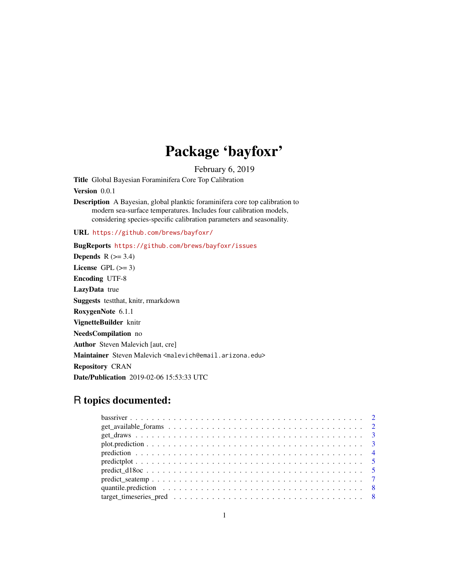## Package 'bayfoxr'

February 6, 2019

Title Global Bayesian Foraminifera Core Top Calibration

Version 0.0.1

Description A Bayesian, global planktic foraminifera core top calibration to modern sea-surface temperatures. Includes four calibration models, considering species-specific calibration parameters and seasonality.

URL <https://github.com/brews/bayfoxr/>

#### BugReports <https://github.com/brews/bayfoxr/issues>

Depends  $R$  ( $>= 3.4$ ) License GPL  $(>= 3)$ Encoding UTF-8 LazyData true Suggests testthat, knitr, rmarkdown RoxygenNote 6.1.1 VignetteBuilder knitr NeedsCompilation no Author Steven Malevich [aut, cre] Maintainer Steven Malevich <malevich@email.arizona.edu> Repository CRAN Date/Publication 2019-02-06 15:53:33 UTC

### R topics documented:

| $get\_available\_forms \ldots \ldots \ldots \ldots \ldots \ldots \ldots \ldots \ldots \ldots \ldots 2$ |  |
|--------------------------------------------------------------------------------------------------------|--|
|                                                                                                        |  |
|                                                                                                        |  |
|                                                                                                        |  |
|                                                                                                        |  |
|                                                                                                        |  |
|                                                                                                        |  |
|                                                                                                        |  |
|                                                                                                        |  |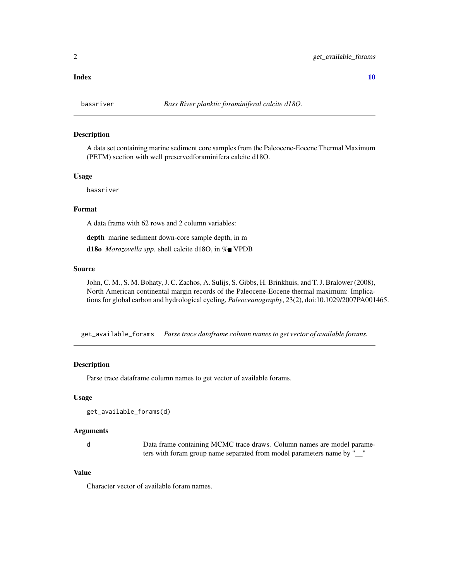#### <span id="page-1-0"></span> $\blacksquare$

bassriver *Bass River planktic foraminiferal calcite d18O.*

#### Description

A data set containing marine sediment core samples from the Paleocene-Eocene Thermal Maximum (PETM) section with well preservedforaminifera calcite d18O.

#### Usage

bassriver

#### Format

A data frame with 62 rows and 2 column variables:

depth marine sediment down-core sample depth, in m

d18o *Morozovella spp.* shell calcite d18O, in %■ VPDB

#### Source

John, C. M., S. M. Bohaty, J. C. Zachos, A. Sulijs, S. Gibbs, H. Brinkhuis, and T. J. Bralower (2008), North American continental margin records of the Paleocene-Eocene thermal maximum: Implications for global carbon and hydrological cycling, *Paleoceanography*, 23(2), doi:10.1029/2007PA001465.

get\_available\_forams *Parse trace dataframe column names to get vector of available forams.*

#### Description

Parse trace dataframe column names to get vector of available forams.

#### Usage

```
get_available_forams(d)
```
#### Arguments

d Data frame containing MCMC trace draws. Column names are model parameters with foram group name separated from model parameters name by "\_\_"

#### Value

Character vector of available foram names.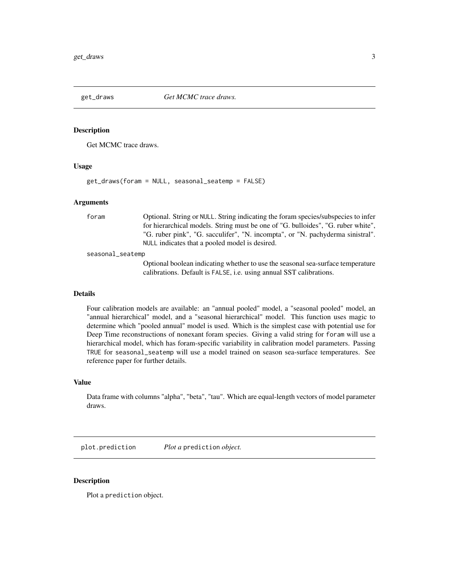<span id="page-2-1"></span><span id="page-2-0"></span>get\_draws *Get MCMC trace draws.*

#### **Description**

Get MCMC trace draws.

#### Usage

get\_draws(foram = NULL, seasonal\_seatemp = FALSE)

#### Arguments

foram Optional. String or NULL. String indicating the foram species/subspecies to infer for hierarchical models. String must be one of "G. bulloides", "G. ruber white", "G. ruber pink", "G. sacculifer", "N. incompta", or "N. pachyderma sinistral". NULL indicates that a pooled model is desired. seasonal\_seatemp Optional boolean indicating whether to use the seasonal sea-surface temperature calibrations. Default is FALSE, i.e. using annual SST calibrations.

#### Details

Four calibration models are available: an "annual pooled" model, a "seasonal pooled" model, an "annual hierarchical" model, and a "seasonal hierarchical" model. This function uses magic to determine which "pooled annual" model is used. Which is the simplest case with potential use for Deep Time reconstructions of nonexant foram species. Giving a valid string for foram will use a hierarchical model, which has foram-specific variability in calibration model parameters. Passing TRUE for seasonal\_seatemp will use a model trained on season sea-surface temperatures. See reference paper for further details.

#### Value

Data frame with columns "alpha", "beta", "tau". Which are equal-length vectors of model parameter draws.

plot.prediction *Plot a* prediction *object.*

#### **Description**

Plot a prediction object.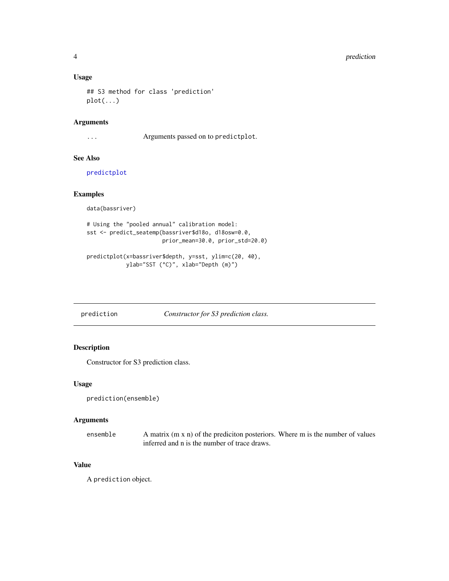#### Usage

```
## S3 method for class 'prediction'
plot(...)
```
#### Arguments

... Arguments passed on to predictplot.

#### See Also

[predictplot](#page-4-1)

#### Examples

```
data(bassriver)
```

```
# Using the "pooled annual" calibration model:
sst <- predict_seatemp(bassriver$d18o, d18osw=0.0,
                      prior_mean=30.0, prior_std=20.0)
```

```
predictplot(x=bassriver$depth, y=sst, ylim=c(20, 40),
           ylab="SST (°C)", xlab="Depth (m)")
```
prediction *Constructor for S3 prediction class.*

#### Description

Constructor for S3 prediction class.

#### Usage

```
prediction(ensemble)
```
#### Arguments

| ensemble | A matrix (m x n) of the prediciton posteriors. Where m is the number of values |
|----------|--------------------------------------------------------------------------------|
|          | inferred and n is the number of trace draws.                                   |

#### Value

A prediction object.

<span id="page-3-0"></span>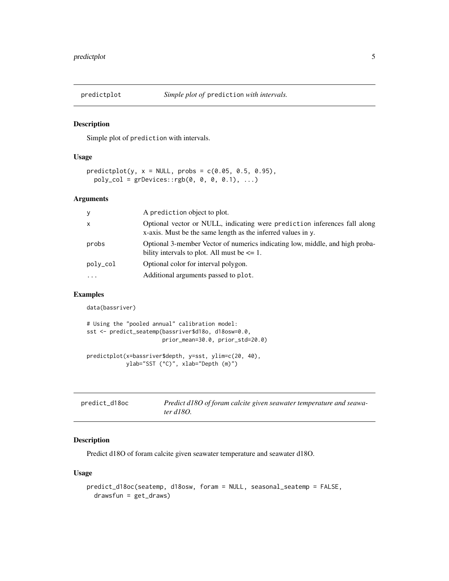<span id="page-4-1"></span><span id="page-4-0"></span>

#### Description

Simple plot of prediction with intervals.

#### Usage

```
predictplot(y, x = NULL, probs = c(0.05, 0.5, 0.95),poly_col = grDevices::rgb(0, 0, 0, 0.1), ...)
```
#### Arguments

| y            | A prediction object to plot.                                                                                                              |
|--------------|-------------------------------------------------------------------------------------------------------------------------------------------|
| $\mathsf{x}$ | Optional vector or NULL, indicating were prediction inferences fall along<br>x-axis. Must be the same length as the inferred values in y. |
| probs        | Optional 3-member Vector of numerics indicating low, middle, and high proba-<br>bility intervals to plot. All must be $\leq 1$ .          |
| poly_col     | Optional color for interval polygon.                                                                                                      |
| $\cdots$     | Additional arguments passed to plot.                                                                                                      |

#### Examples

data(bassriver)

```
# Using the "pooled annual" calibration model:
sst <- predict_seatemp(bassriver$d18o, d18osw=0.0,
                       prior_mean=30.0, prior_std=20.0)
predictplot(x=bassriver$depth, y=sst, ylim=c(20, 40),
```

```
ylab="SST (°C)", xlab="Depth (m)")
```
<span id="page-4-2"></span>

| predict_d18oc | Predict d180 of foram calcite given seawater temperature and seawa- |
|---------------|---------------------------------------------------------------------|
|               | ter d180.                                                           |

#### Description

Predict d18O of foram calcite given seawater temperature and seawater d18O.

#### Usage

```
predict_d18oc(seatemp, d18osw, foram = NULL, seasonal_seatemp = FALSE,
  drawsfun = get_draws)
```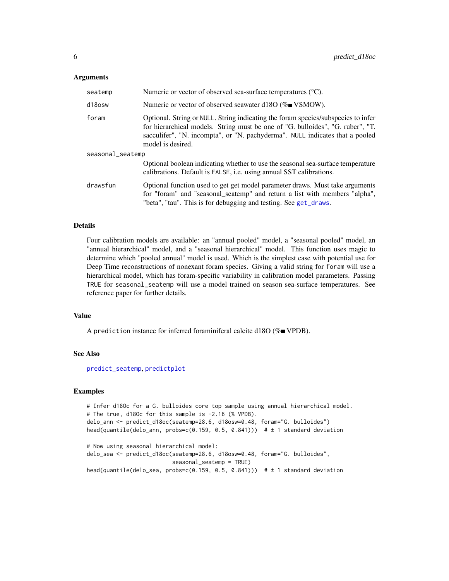#### <span id="page-5-0"></span>**Arguments**

| seatemp          | Numeric or vector of observed sea-surface temperatures $(^{\circ}C)$ .                                                                                                                                                                                                   |
|------------------|--------------------------------------------------------------------------------------------------------------------------------------------------------------------------------------------------------------------------------------------------------------------------|
| d18osw           | Numeric or vector of observed seawater d18O (%■ VSMOW).                                                                                                                                                                                                                  |
| foram            | Optional. String or NULL. String indicating the foram species/subspecies to infer<br>for hierarchical models. String must be one of "G. bulloides", "G. ruber", "T.<br>sacculifer", "N. incompta", or "N. pachyderma". NULL indicates that a pooled<br>model is desired. |
| seasonal_seatemp |                                                                                                                                                                                                                                                                          |
|                  | Optional boolean indicating whether to use the seasonal sea-surface temperature<br>calibrations. Default is FALSE, i.e. using annual SST calibrations.                                                                                                                   |
| drawsfun         | Optional function used to get get model parameter draws. Must take arguments<br>for "foram" and "seasonal_seatemp" and return a list with members "alpha",<br>"beta", "tau". This is for debugging and testing. See get_draws.                                           |

#### Details

Four calibration models are available: an "annual pooled" model, a "seasonal pooled" model, an "annual hierarchical" model, and a "seasonal hierarchical" model. This function uses magic to determine which "pooled annual" model is used. Which is the simplest case with potential use for Deep Time reconstructions of nonexant foram species. Giving a valid string for foram will use a hierarchical model, which has foram-specific variability in calibration model parameters. Passing TRUE for seasonal\_seatemp will use a model trained on season sea-surface temperatures. See reference paper for further details.

#### Value

A prediction instance for inferred foraminiferal calcite d18O ( $\%$  VPDB).

#### See Also

[predict\\_seatemp](#page-6-1), [predictplot](#page-4-1)

#### Examples

```
# Infer d18Oc for a G. bulloides core top sample using annual hierarchical model.
# The true, d18Oc for this sample is -2.16 (% VPDB).
delo_ann <- predict_d18oc(seatemp=28.6, d18osw=0.48, foram="G. bulloides")
head(quantile(delo_ann, probs=c(0.159, 0.5, 0.841))) \# \pm 1 standard deviation
# Now using seasonal hierarchical model:
delo_sea <- predict_d18oc(seatemp=28.6, d18osw=0.48, foram="G. bulloides",
                          seasonal_seatemp = TRUE)
```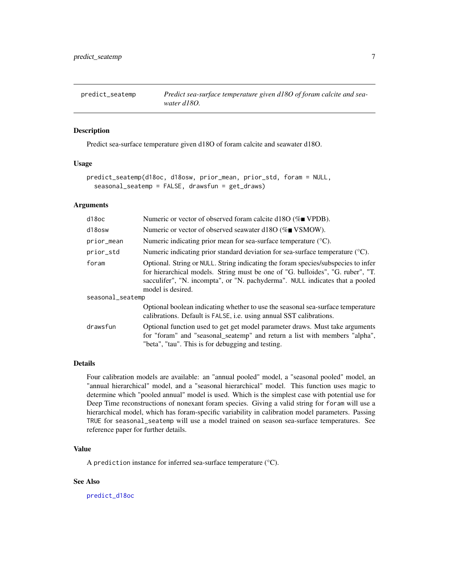<span id="page-6-1"></span><span id="page-6-0"></span>

#### Description

Predict sea-surface temperature given d18O of foram calcite and seawater d18O.

#### Usage

```
predict_seatemp(d18oc, d18osw, prior_mean, prior_std, foram = NULL,
  seasonal_seatemp = FALSE, drawsfun = get_draws)
```
#### Arguments

| d <sub>18oc</sub> | Numeric or vector of observed foram calcite d18O ( $\%$ VPDB).                                                                                                                                                                                                           |  |
|-------------------|--------------------------------------------------------------------------------------------------------------------------------------------------------------------------------------------------------------------------------------------------------------------------|--|
| d18osw            | Numeric or vector of observed seawater d18O (%■ VSMOW).                                                                                                                                                                                                                  |  |
| prior_mean        | Numeric indicating prior mean for sea-surface temperature $({}^{\circ}C)$ .                                                                                                                                                                                              |  |
| prior_std         | Numeric indicating prior standard deviation for sea-surface temperature $(^\circ\text{C})$ .                                                                                                                                                                             |  |
| foram             | Optional. String or NULL. String indicating the foram species/subspecies to infer<br>for hierarchical models. String must be one of "G. bulloides", "G. ruber", "T.<br>sacculifer", "N. incompta", or "N. pachyderma". NULL indicates that a pooled<br>model is desired. |  |
| seasonal_seatemp  |                                                                                                                                                                                                                                                                          |  |
|                   | Optional boolean indicating whether to use the seasonal sea-surface temperature<br>calibrations. Default is FALSE, i.e. using annual SST calibrations.                                                                                                                   |  |
| drawsfun          | Optional function used to get get model parameter draws. Must take arguments<br>for "foram" and "seasonal_seatemp" and return a list with members "alpha",<br>"beta", "tau". This is for debugging and testing.                                                          |  |

#### Details

Four calibration models are available: an "annual pooled" model, a "seasonal pooled" model, an "annual hierarchical" model, and a "seasonal hierarchical" model. This function uses magic to determine which "pooled annual" model is used. Which is the simplest case with potential use for Deep Time reconstructions of nonexant foram species. Giving a valid string for foram will use a hierarchical model, which has foram-specific variability in calibration model parameters. Passing TRUE for seasonal\_seatemp will use a model trained on season sea-surface temperatures. See reference paper for further details.

#### Value

A prediction instance for inferred sea-surface temperature (°C).

#### See Also

[predict\\_d18oc](#page-4-2)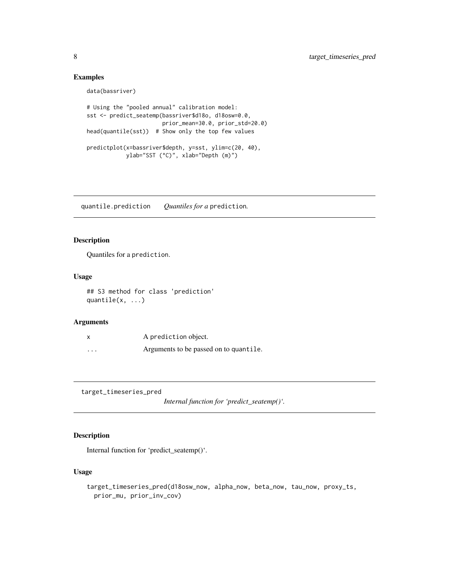#### Examples

```
data(bassriver)
# Using the "pooled annual" calibration model:
sst <- predict_seatemp(bassriver$d18o, d18osw=0.0,
                       prior_mean=30.0, prior_std=20.0)
head(quantile(sst)) # Show only the top few values
predictplot(x=bassriver$depth, y=sst, ylim=c(20, 40),
           ylab="SST (°C)", xlab="Depth (m)")
```
quantile.prediction *Quantiles for a* prediction*.*

#### Description

Quantiles for a prediction.

#### Usage

## S3 method for class 'prediction' quantile(x, ...)

#### Arguments

| X       | A prediction object.                   |
|---------|----------------------------------------|
| $\cdot$ | Arguments to be passed on to quantile. |

target\_timeseries\_pred

*Internal function for 'predict\_seatemp()'.*

#### Description

Internal function for 'predict\_seatemp()'.

#### Usage

```
target_timeseries_pred(d18osw_now, alpha_now, beta_now, tau_now, proxy_ts,
 prior_mu, prior_inv_cov)
```
<span id="page-7-0"></span>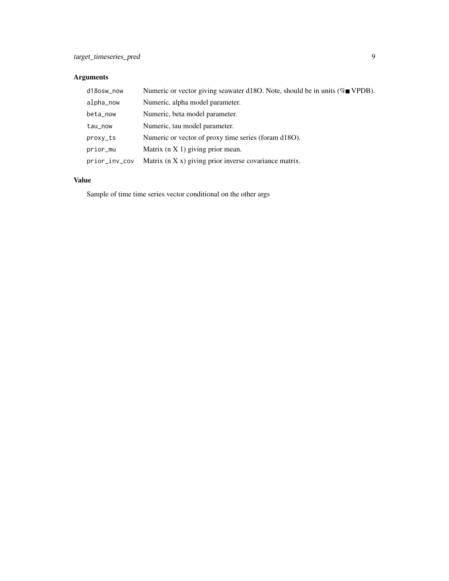#### Arguments

| d18osw_now    | Numeric or vector giving seawater d18O. Note, should be in units ( $\%$ VPDB). |
|---------------|--------------------------------------------------------------------------------|
| alpha_now     | Numeric, alpha model parameter.                                                |
| beta_now      | Numeric, beta model parameter.                                                 |
| tau_now       | Numeric, tau model parameter.                                                  |
| proxy_ts      | Numeric or vector of proxy time series (foram d18O).                           |
| prior_mu      | Matrix $(n X 1)$ giving prior mean.                                            |
| prior_inv_cov | Matrix (n X x) giving prior inverse covariance matrix.                         |

#### Value

Sample of time time series vector conditional on the other args